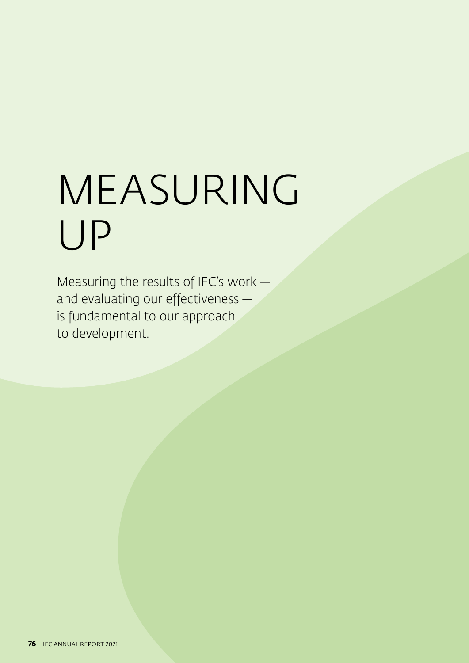# MEASURING UP

Measuring the results of IFC's work   and evaluating our effectiveness   is fundamental to our approach to development.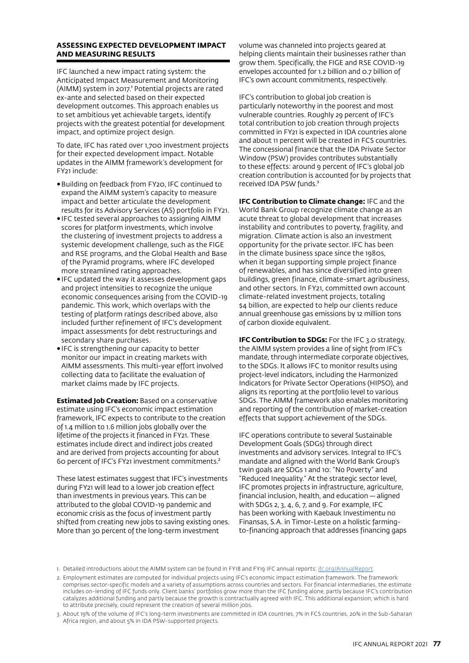## **ASSESSING EXPECTED DEVELOPMENT IMPACT AND MEASURING RESULTS**

IFC launched a new impact rating system: the Anticipated Impact Measurement and Monitoring (AIMM) system in 2017.<sup>1</sup> Potential projects are rated ex-ante and selected based on their expected development outcomes. This approach enables us to set ambitious yet achievable targets, identify projects with the greatest potential for development impact, and optimize project design.

To date, IFC has rated over 1,700 investment projects for their expected development impact. Notable updates in the AIMM framework's development for FY21 include:

- •Building on feedback from FY20, IFC continued to expand the AIMM system's capacity to measure impact and better articulate the development results for its Advisory Services (AS) portfolio in FY21.
- •IFC tested several approaches to assigning AIMM scores for platform investments, which involve the clustering of investment projects to address a systemic development challenge, such as the FIGE and RSE programs, and the Global Health and Base of the Pyramid programs, where IFC developed more streamlined rating approaches.
- •IFC updated the way it assesses development gaps and project intensities to recognize the unique economic consequences arising from the COVID-19 pandemic. This work, which overlaps with the testing of platform ratings described above, also included further refinement of IFC's development impact assessments for debt restructurings and secondary share purchases.
- •IFC is strengthening our capacity to better monitor our impact in creating markets with AIMM assessments. This multi-year effort involved collecting data to facilitate the evaluation of market claims made by IFC projects.

**Estimated Job Creation:** Based on a conservative estimate using IFC's economic impact estimation framework, IFC expects to contribute to the creation of 1.4 million to 1.6 million jobs globally over the lifetime of the projects it financed in FY21. These estimates include direct and indirect jobs created and are derived from projects accounting for about 60 percent of IFC's FY21 investment commitments.²

These latest estimates suggest that IFC's investments during FY21 will lead to a lower job creation effect than investments in previous years. This can be attributed to the global COVID-19 pandemic and economic crisis as the focus of investment partly shifted from creating new jobs to saving existing ones. More than 30 percent of the long-term investment

volume was channeled into projects geared at helping clients maintain their businesses rather than grow them. Specifically, the FIGE and RSE COVID-19 envelopes accounted for 1.2 billion and 0.7 billion of IFC's own account commitments, respectively.

IFC's contribution to global job creation is particularly noteworthy in the poorest and most vulnerable countries. Roughly 29 percent of IFC's total contribution to job creation through projects committed in FY21 is expected in IDA countries alone and about 11 percent will be created in FCS countries. The concessional finance that the IDA Private Sector Window (PSW) provides contributes substantially to these effects: around 9 percent of IFC's global job creation contribution is accounted for by projects that received IDA PSW funds.<sup>3</sup>

**IFC Contribution to Climate change:** IFC and the World Bank Group recognize climate change as an acute threat to global development that increases instability and contributes to poverty, fragility, and migration. Climate action is also an investment opportunity for the private sector. IFC has been in the climate business space since the 1980s, when it began supporting simple project finance of renewables, and has since diversified into green buildings, green finance, climate-smart agribusiness, and other sectors. In FY21, committed own account climate-related investment projects, totaling \$4 billion, are expected to help our clients reduce annual greenhouse gas emissions by 12 million tons of carbon dioxide equivalent.

**IFC Contribution to SDGs:** For the IFC 3.0 strategy, the AIMM system provides a line of sight from IFC's mandate, through intermediate corporate objectives, to the SDGs. It allows IFC to monitor results using project-level indicators, including the Harmonized Indicators for Private Sector Operations (HIPSO), and aligns its reporting at the portfolio level to various SDGs. The AIMM framework also enables monitoring and reporting of the contribution of market-creation effects that support achievement of the SDGs.

IFC operations contribute to several Sustainable Development Goals (SDGs) through direct investments and advisory services. Integral to IFC's mandate and aligned with the World Bank Group's twin goals are SDGs 1 and 10: "No Poverty" and "Reduced Inequality." At the strategic sector level, IFC promotes projects in infrastructure, agriculture, financial inclusion, health, and education — aligned with SDGs 2, 3, 4, 6, 7, and 9. For example, IFC has been working with Kaebauk Investimentu no Finansas, S.A. in Timor-Leste on a holistic farmingto-financing approach that addresses financing gaps

<sup>1.</sup> Detailed introductions about the AIMM system can be found in FY18 and FY19 IFC annual reports: [ifc.org/AnnualReport](http://www.ifc.org/AnnualReport)

<sup>2.</sup> Employment estimates are computed for individual projects using IFC's economic impact estimation framework. The framework comprises sector-specific models and a variety of assumptions across countries and sectors. For financial intermediaries, the estimate includes on-lending of IFC funds only. Client banks' portfolios grow more than the IFC funding alone, partly because IFC's contribution catalyzes additional funding and partly because the growth is contractually agreed with IFC. This additional expansion, which is hard to attribute precisely, could represent the creation of several million jobs.

<sup>3.</sup> About 19% of the volume of IFC's long-term investments are committed in IDA countries, 7% in FCS countries, 20% in the Sub-Saharan Africa region, and about 5% in IDA PSW-supported projects.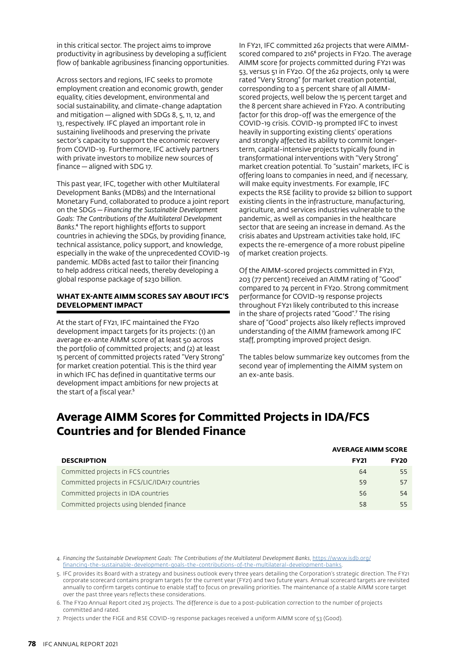in this critical sector. The project aims to improve productivity in agribusiness by developing a sufficient flow of bankable agribusiness financing opportunities.

Across sectors and regions, IFC seeks to promote employment creation and economic growth, gender equality, cities development, environmental and social sustainability, and climate-change adaptation and mitigation — aligned with SDGs 8, 5, 11, 12, and 13, respectively. IFC played an important role in sustaining livelihoods and preserving the private sector's capacity to support the economic recovery from COVID-19. Furthermore, IFC actively partners with private investors to mobilize new sources of finance — aligned with SDG 17.

This past year, IFC, together with other Multilateral Development Banks (MDBs) and the International Monetary Fund, collaborated to produce a joint report on the SDGs*— Financing the Sustainable Development Goals: The Contributions of the Multilateral Development Banks*.⁴ The report highlights efforts to support countries in achieving the SDGs, by providing finance, technical assistance, policy support, and knowledge, especially in the wake of the unprecedented COVID-19 pandemic. MDBs acted fast to tailor their financing to help address critical needs, thereby developing a global response package of \$230 billion.

## **WHAT EX-ANTE AIMM SCORES SAY ABOUT IFC'S DEVELOPMENT IMPACT**

At the start of FY21, IFC maintained the FY20 development impact targets for its projects: (1) an average ex-ante AIMM score of at least 50 across the portfolio of committed projects; and (2) at least 15 percent of committed projects rated "Very Strong" for market creation potential. This is the third year in which IFC has defined in quantitative terms our development impact ambitions for new projects at the start of a fiscal year.<sup>5</sup>

In FY21, IFC committed 262 projects that were AIMMscored compared to 216<sup>6</sup> projects in FY20. The average AIMM score for projects committed during FY21 was 53, versus 51 in FY20. Of the 262 projects, only 14 were rated "Very Strong" for market creation potential, corresponding to a 5 percent share of all AIMMscored projects, well below the 15 percent target and the 8 percent share achieved in FY20. A contributing factor for this drop-off was the emergence of the COVID-19 crisis. COVID-19 prompted IFC to invest heavily in supporting existing clients' operations and strongly affected its ability to commit longerterm, capital-intensive projects typically found in transformational interventions with "Very Strong" market creation potential. To "sustain" markets, IFC is offering loans to companies in need, and if necessary, will make equity investments. For example, IFC expects the RSE facility to provide \$2 billion to support existing clients in the infrastructure, manufacturing, agriculture, and services industries vulnerable to the pandemic, as well as companies in the healthcare sector that are seeing an increase in demand. As the crisis abates and Upstream activities take hold, IFC expects the re-emergence of a more robust pipeline of market creation projects.

Of the AIMM-scored projects committed in FY21, 203 (77 percent) received an AIMM rating of "Good" compared to 74 percent in FY20. Strong commitment performance for COVID-19 response projects throughout FY21 likely contributed to this increase in the share of projects rated "Good".<sup>7</sup> The rising share of "Good" projects also likely reflects improved understanding of the AIMM framework among IFC staff, prompting improved project design.

The tables below summarize key outcomes from the second year of implementing the AIMM system on an ex-ante basis.

## **Average AIMM Scores for Committed Projects in IDA/FCS Countries and for Blended Finance**

|                                               | <b>AVERAGE AIMM SCORE</b> |             |  |
|-----------------------------------------------|---------------------------|-------------|--|
| <b>DESCRIPTION</b>                            | <b>FY21</b>               | <b>FY20</b> |  |
| Committed projects in FCS countries           | 64                        | 55          |  |
| Committed projects in FCS/LIC/IDA17 countries | 59                        | 57          |  |
| Committed projects in IDA countries           | 56                        | 54          |  |
| Committed projects using blended finance      | 58                        | 55          |  |

4. *Financing the Sustainable Development Goals: The Contributions of the Multilateral Development Banks*, [https://www.isdb.org/](https://www.isdb.org/financing-the-sustainable-development-goals-the-contributions-of-the-multilater) financing-the-sustainable-development-goals-the-contributions-of-the-multilateral-development-banks

5. IFC provides its Board with a strategy and business outlook every three years detailing the Corporation's strategic direction. The FY21 corporate scorecard contains program targets for the current year (FY21) and two future years. Annual scorecard targets are revisited annually to confirm targets continue to enable staff to focus on prevailing priorities. The maintenance of a stable AIMM score target over the past three years reflects these considerations.

6. The FY20 Annual Report cited 215 projects. The difference is due to a post-publication correction to the number of projects committed and rated.

7. Projects under the FIGE and RSE COVID-19 response packages received a uniform AIMM score of 53 (Good).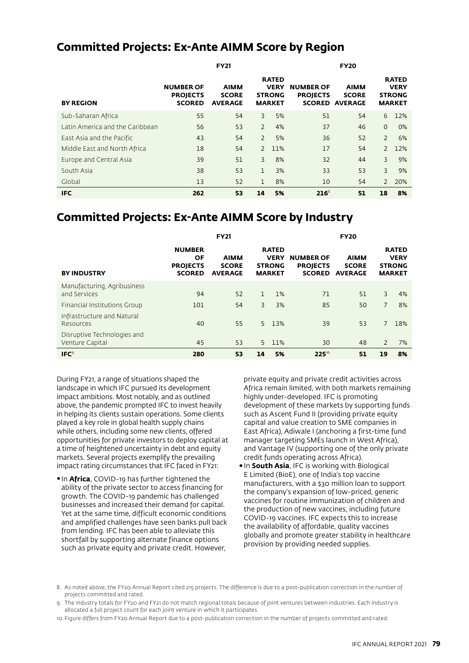## **Committed Projects: Ex-Ante AIMM Score by Region**

|                                 | <b>FY21</b>                                          |                                               |                | <b>FY20</b>                                                   |                                     |                                                      |                |                                                               |
|---------------------------------|------------------------------------------------------|-----------------------------------------------|----------------|---------------------------------------------------------------|-------------------------------------|------------------------------------------------------|----------------|---------------------------------------------------------------|
| <b>BY REGION</b>                | <b>NUMBER OF</b><br><b>PROJECTS</b><br><b>SCORED</b> | <b>AIMM</b><br><b>SCORE</b><br><b>AVERAGE</b> |                | <b>RATED</b><br><b>VERY</b><br><b>STRONG</b><br><b>MARKET</b> | <b>NUMBER OF</b><br><b>PROJECTS</b> | <b>AIMM</b><br><b>SCORE</b><br><b>SCORED AVERAGE</b> |                | <b>RATED</b><br><b>VERY</b><br><b>STRONG</b><br><b>MARKET</b> |
| Sub-Saharan Africa              | 55                                                   | 54                                            | 3              | 5%                                                            | 51                                  | 54                                                   | 6              | 12%                                                           |
| Latin America and the Caribbean | 56                                                   | 53                                            | $\overline{2}$ | 4%                                                            | 37                                  | 46                                                   | $\mathbf{0}$   | $0\%$                                                         |
| East Asia and the Pacific       | 43                                                   | 54                                            | $\overline{2}$ | 5%                                                            | 36                                  | 52                                                   | $\overline{2}$ | 6%                                                            |
| Middle East and North Africa    | 18                                                   | 54                                            | $\mathcal{P}$  | 11%                                                           | 17                                  | 54                                                   |                | 2 12%                                                         |
| Europe and Central Asia         | 39                                                   | 51                                            | 3              | 8%                                                            | 32                                  | 44                                                   | $\overline{3}$ | 9%                                                            |
| South Asia                      | 38                                                   | 53                                            | 1              | 3%                                                            | 33                                  | 53                                                   | 3              | 9%                                                            |
| Global                          | 13                                                   | 52                                            | 1              | 8%                                                            | 10                                  | 54                                                   | $\overline{2}$ | 20%                                                           |
| <b>IFC</b>                      | 262                                                  | 53                                            | 14             | 5%                                                            | $216^8$                             | 51                                                   | 18             | 8%                                                            |

## **Committed Projects: Ex-Ante AIMM Score by Industry**

|                                                       | <b>FY21</b>                                                    |                                               |    | <b>FY20</b>                                                   |                                                      |                                               |                |                                                               |
|-------------------------------------------------------|----------------------------------------------------------------|-----------------------------------------------|----|---------------------------------------------------------------|------------------------------------------------------|-----------------------------------------------|----------------|---------------------------------------------------------------|
| <b>BY INDUSTRY</b>                                    | <b>NUMBER</b><br><b>OF</b><br><b>PROJECTS</b><br><b>SCORED</b> | <b>AIMM</b><br><b>SCORE</b><br><b>AVERAGE</b> |    | <b>RATED</b><br><b>VERY</b><br><b>STRONG</b><br><b>MARKET</b> | <b>NUMBER OF</b><br><b>PROJECTS</b><br><b>SCORED</b> | <b>AIMM</b><br><b>SCORE</b><br><b>AVERAGE</b> |                | <b>RATED</b><br><b>VERY</b><br><b>STRONG</b><br><b>MARKET</b> |
| Manufacturing, Agribusiness<br>and Services           | 94                                                             | 52                                            | 1  | 1%                                                            | 71                                                   | 51                                            | 3              | 4%                                                            |
| Financial Institutions Group                          | 101                                                            | 54                                            | 3  | 3%                                                            | 85                                                   | 50                                            | $\overline{7}$ | 8%                                                            |
| Infrastructure and Natural<br>Resources               | 40                                                             | 55                                            |    | 5 13%                                                         | 39                                                   | 53                                            | 7              | 18%                                                           |
| Disruptive Technologies and<br><b>Venture Capital</b> | 45                                                             | 53                                            | 5. | 11%                                                           | 30                                                   | 48                                            | $\mathcal{P}$  | 7%                                                            |
| IFC <sup>9</sup>                                      | 280                                                            | 53                                            | 14 | 5%                                                            | 22510                                                | 51                                            | 19             | 8%                                                            |

During FY21, a range of situations shaped the landscape in which IFC pursued its development impact ambitions. Most notably, and as outlined above, the pandemic prompted IFC to invest heavily in helping its clients sustain operations. Some clients played a key role in global health supply chains while others, including some new clients, offered opportunities for private investors to deploy capital at a time of heightened uncertainty in debt and equity markets. Several projects exemplify the prevailing impact rating circumstances that IFC faced in FY21:

•In **Africa**, COVID-19 has further tightened the ability of the private sector to access financing for growth. The COVID-19 pandemic has challenged businesses and increased their demand for capital. Yet at the same time, difficult economic conditions and amplified challenges have seen banks pull back from lending. IFC has been able to alleviate this shortfall by supporting alternate finance options such as private equity and private credit. However,

private equity and private credit activities across Africa remain limited, with both markets remaining highly under-developed. IFC is promoting development of these markets by supporting funds such as Ascent Fund II (providing private equity capital and value creation to SME companies in East Africa), Adiwale I (anchoring a first-time fund manager targeting SMEs launch in West Africa), and Vantage IV (supporting one of the only private credit funds operating across Africa).

•In **South Asia**, IFC is working with Biological E Limited (BioE), one of India's top vaccine manufacturers, with a \$30 million loan to support the company's expansion of low-priced, generic vaccines for routine immunization of children and the production of new vaccines, including future COVID-19 vaccines. IFC expects this to increase the availability of affordable, quality vaccines globally and promote greater stability in healthcare provision by providing needed supplies.

8. As noted above, the FY20 Annual Report cited 215 projects. The difference is due to a post-publication correction in the number of projects committed and rated.

- 9. The industry totals for FY20 and FY21 do not match regional totals because of joint ventures between industries. Each industry is allocated a full project count for each joint venture in which it participates.
- 10. Figure differs from FY20 Annual Report due to a post-publication correction in the number of projects committed and rated.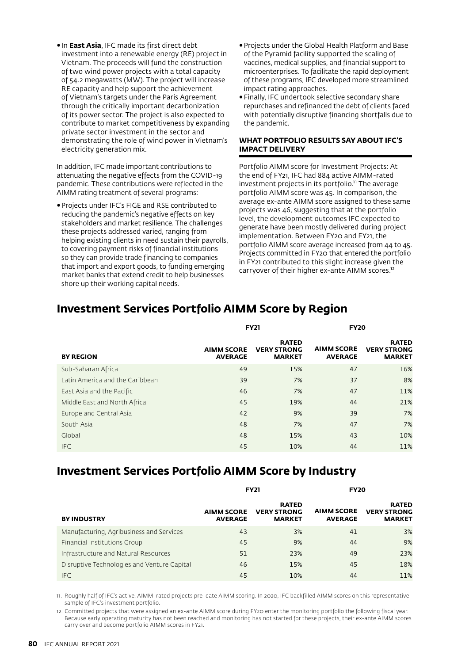•In **East Asia**, IFC made its first direct debt investment into a renewable energy (RE) project in Vietnam. The proceeds will fund the construction of two wind power projects with a total capacity of 54.2 megawatts (MW). The project will increase RE capacity and help support the achievement of Vietnam's targets under the Paris Agreement through the critically important decarbonization of its power sector. The project is also expected to contribute to market competitiveness by expanding private sector investment in the sector and demonstrating the role of wind power in Vietnam's electricity generation mix.

In addition, IFC made important contributions to attenuating the negative effects from the COVID-19 pandemic. These contributions were reflected in the AIMM rating treatment of several programs:

•Projects under IFC's FIGE and RSE contributed to reducing the pandemic's negative effects on key stakeholders and market resilience. The challenges these projects addressed varied, ranging from helping existing clients in need sustain their payrolls, to covering payment risks of financial institutions so they can provide trade financing to companies that import and export goods, to funding emerging market banks that extend credit to help businesses shore up their working capital needs.

- •Projects under the Global Health Platform and Base of the Pyramid facility supported the scaling of vaccines, medical supplies, and financial support to microenterprises. To facilitate the rapid deployment of these programs, IFC developed more streamlined impact rating approaches.
- •Finally, IFC undertook selective secondary share repurchases and refinanced the debt of clients faced with potentially disruptive financing shortfalls due to the pandemic.

### **WHAT PORTFOLIO RESULTS SAY ABOUT IFC'S IMPACT DELIVERY**

Portfolio AIMM score for Investment Projects: At the end of FY21, IFC had 884 active AIMM-rated investment projects in its portfolio.<sup>11</sup> The average portfolio AIMM score was 45. In comparison, the average ex-ante AIMM score assigned to these same projects was 46, suggesting that at the portfolio level, the development outcomes IFC expected to generate have been mostly delivered during project implementation. Between FY20 and FY21, the portfolio AIMM score average increased from 44 to 45. Projects committed in FY20 that entered the portfolio in FY21 contributed to this slight increase given the carryover of their higher ex-ante AIMM scores.<sup>12</sup>

|                                 |                                     | <b>FY21</b>                                         | <b>FY20</b>                         |                                                     |  |
|---------------------------------|-------------------------------------|-----------------------------------------------------|-------------------------------------|-----------------------------------------------------|--|
| <b>BY REGION</b>                | <b>AIMM SCORE</b><br><b>AVERAGE</b> | <b>RATED</b><br><b>VERY STRONG</b><br><b>MARKET</b> | <b>AIMM SCORE</b><br><b>AVERAGE</b> | <b>RATED</b><br><b>VERY STRONG</b><br><b>MARKET</b> |  |
| Sub-Saharan Africa              | 49                                  | 15%                                                 | 47                                  | 16%                                                 |  |
| Latin America and the Caribbean | 39                                  | 7%                                                  | 37                                  | 8%                                                  |  |
| East Asia and the Pacific       | 46                                  | 7%                                                  | 47                                  | 11%                                                 |  |
| Middle East and North Africa    | 45                                  | 19%                                                 | 44                                  | 21%                                                 |  |
| Europe and Central Asia         | 42                                  | 9%                                                  | 39                                  | 7%                                                  |  |
| South Asia                      | 48                                  | 7%                                                  | 47                                  | 7%                                                  |  |
| Global                          | 48                                  | 15%                                                 | 43                                  | 10%                                                 |  |
| <b>IFC</b>                      | 45                                  | 10%                                                 | 44                                  | 11%                                                 |  |

# **Investment Services Portfolio AIMM Score by Region**

# **Investment Services Portfolio AIMM Score by Industry**

|                                             |                                     | <b>FY21</b>                                         | <b>FY20</b>                         |                                                     |  |
|---------------------------------------------|-------------------------------------|-----------------------------------------------------|-------------------------------------|-----------------------------------------------------|--|
| <b>BY INDUSTRY</b>                          | <b>AIMM SCORE</b><br><b>AVERAGE</b> | <b>RATED</b><br><b>VERY STRONG</b><br><b>MARKET</b> | <b>AIMM SCORE</b><br><b>AVERAGE</b> | <b>RATED</b><br><b>VERY STRONG</b><br><b>MARKET</b> |  |
| Manufacturing, Agribusiness and Services    | 43                                  | 3%                                                  | 41                                  | 3%                                                  |  |
| Financial Institutions Group                | 45                                  | 9%                                                  | 44                                  | 9%                                                  |  |
| Infrastructure and Natural Resources        | 51                                  | 23%                                                 | 49                                  | 23%                                                 |  |
| Disruptive Technologies and Venture Capital | 46                                  | 15%                                                 | 45                                  | 18%                                                 |  |
| <b>IFC</b>                                  | 45                                  | 10%                                                 | 44                                  | 11%                                                 |  |

11. Roughly half of IFC's active, AIMM-rated projects pre-date AIMM scoring. In 2020, IFC backfilled AIMM scores on this representative sample of IFC's investment portfolio.

12. Committed projects that were assigned an ex-ante AIMM score during FY20 enter the monitoring portfolio the following fiscal year. Because early operating maturity has not been reached and monitoring has not started for these projects, their ex-ante AIMM scores carry over and become portfolio AIMM scores in FY21.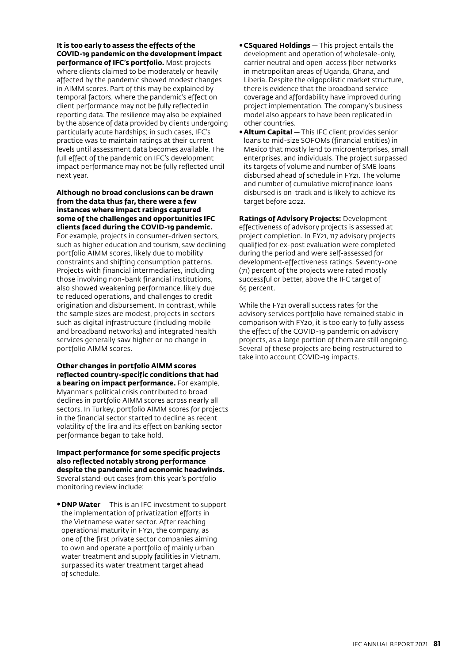**It is too early to assess the effects of the COVID-19 pandemic on the development impact performance of IFC's portfolio.** Most projects

where clients claimed to be moderately or heavily affected by the pandemic showed modest changes in AIMM scores. Part of this may be explained by temporal factors, where the pandemic's effect on client performance may not be fully reflected in reporting data. The resilience may also be explained by the absence of data provided by clients undergoing particularly acute hardships; in such cases, IFC's practice was to maintain ratings at their current levels until assessment data becomes available. The full effect of the pandemic on IFC's development impact performance may not be fully reflected until next year.

#### **Although no broad conclusions can be drawn from the data thus far, there were a few instances where impact ratings captured some of the challenges and opportunities IFC clients faced during the COVID-19 pandemic.**

For example, projects in consumer-driven sectors, such as higher education and tourism, saw declining portfolio AIMM scores, likely due to mobility constraints and shifting consumption patterns. Projects with financial intermediaries, including those involving non-bank financial institutions, also showed weakening performance, likely due to reduced operations, and challenges to credit origination and disbursement. In contrast, while the sample sizes are modest, projects in sectors such as digital infrastructure (including mobile and broadband networks) and integrated health services generally saw higher or no change in portfolio AIMM scores.

#### **Other changes in portfolio AIMM scores reflected country-specific conditions that had a bearing on impact performance.** For example,

Myanmar's political crisis contributed to broad declines in portfolio AIMM scores across nearly all sectors. In Turkey, portfolio AIMM scores for projects in the financial sector started to decline as recent volatility of the lira and its effect on banking sector performance began to take hold.

#### **Impact performance for some specific projects also reflected notably strong performance despite the pandemic and economic headwinds.**  Several stand-out cases from this year's portfolio

monitoring review include:

•**DNP Water** — This is an IFC investment to support the implementation of privatization efforts in the Vietnamese water sector. After reaching operational maturity in FY21, the company, as one of the first private sector companies aiming to own and operate a portfolio of mainly urban water treatment and supply facilities in Vietnam, surpassed its water treatment target ahead of schedule.

- •**CSquared Holdings** — This project entails the development and operation of wholesale-only, carrier neutral and open-access fiber networks in metropolitan areas of Uganda, Ghana, and Liberia. Despite the oligopolistic market structure, there is evidence that the broadband service coverage and affordability have improved during project implementation. The company's business model also appears to have been replicated in other countries.
- •**Altum Capital** — This IFC client provides senior loans to mid-size SOFOMs (financial entities) in Mexico that mostly lend to microenterprises, small enterprises, and individuals. The project surpassed its targets of volume and number of SME loans disbursed ahead of schedule in FY21. The volume and number of cumulative microfinance loans disbursed is on-track and is likely to achieve its target before 2022.

**Ratings of Advisory Projects:** Development effectiveness of advisory projects is assessed at project completion. In FY21, 117 advisory projects qualified for ex-post evaluation were completed during the period and were self-assessed for development-effectiveness ratings. Seventy-one (71) percent of the projects were rated mostly successful or better, above the IFC target of 65 percent.

While the FY21 overall success rates for the advisory services portfolio have remained stable in comparison with FY20, it is too early to fully assess the effect of the COVID-19 pandemic on advisory projects, as a large portion of them are still ongoing. Several of these projects are being restructured to take into account COVID-19 impacts.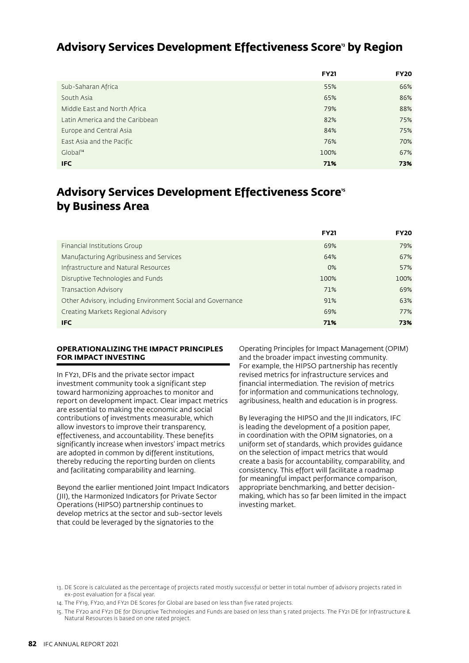## **Advisory Services Development Effectiveness Score13 by Region**

|                                 | <b>FY21</b> | <b>FY20</b> |
|---------------------------------|-------------|-------------|
| Sub-Saharan Africa              | 55%         | 66%         |
| South Asia                      | 65%         | 86%         |
| Middle East and North Africa    | 79%         | 88%         |
| Latin America and the Caribbean | 82%         | 75%         |
| Europe and Central Asia         | 84%         | 75%         |
| East Asia and the Pacific       | 76%         | 70%         |
| Global <sup>14</sup>            | 100%        | 67%         |
| <b>IFC</b>                      | 71%         | 73%         |

# Advisory Services Development Effectiveness Score<sup>15</sup> **by Business Area**

|                                                             | <b>FY21</b> | <b>FY20</b> |
|-------------------------------------------------------------|-------------|-------------|
| Financial Institutions Group                                | 69%         | 79%         |
| Manufacturing Agribusiness and Services                     | 64%         | 67%         |
| Infrastructure and Natural Resources                        | 0%          | 57%         |
| Disruptive Technologies and Funds                           | 100%        | 100%        |
| Transaction Advisory                                        | 71%         | 69%         |
| Other Advisory, including Environment Social and Governance | 91%         | 63%         |
| Creating Markets Regional Advisory                          | 69%         | 77%         |
| <b>IFC</b>                                                  | 71%         | 73%         |

#### **OPERATIONALIZING THE IMPACT PRINCIPLES FOR IMPACT INVESTING**

In FY21, DFIs and the private sector impact investment community took a significant step toward harmonizing approaches to monitor and report on development impact. Clear impact metrics are essential to making the economic and social contributions of investments measurable, which allow investors to improve their transparency, effectiveness, and accountability. These benefits significantly increase when investors' impact metrics are adopted in common by different institutions, thereby reducing the reporting burden on clients and facilitating comparability and learning.

Beyond the earlier mentioned Joint Impact Indicators (JII), the Harmonized Indicators for Private Sector Operations (HIPSO) partnership continues to develop metrics at the sector and sub-sector levels that could be leveraged by the signatories to the

Operating Principles for Impact Management (OPIM) and the broader impact investing community. For example, the HIPSO partnership has recently revised metrics for infrastructure services and financial intermediation. The revision of metrics for information and communications technology, agribusiness, health and education is in progress.

By leveraging the HIPSO and the JII indicators, IFC is leading the development of a position paper, in coordination with the OPIM signatories, on a uniform set of standards, which provides guidance on the selection of impact metrics that would create a basis for accountability, comparability, and consistency. This effort will facilitate a roadmap for meaningful impact performance comparison, appropriate benchmarking, and better decisionmaking, which has so far been limited in the impact investing market.

<sup>13.</sup> DE Score is calculated as the percentage of projects rated mostly successful or better in total number of advisory projects rated in ex-post evaluation for a fiscal year.

<sup>14.</sup> The FY19, FY20, and FY21 DE Scores for Global are based on less than five rated projects.

<sup>15.</sup> The FY20 and FY21 DE for Disruptive Technologies and Funds are based on less than 5 rated projects. The FY21 DE for Infrastructure & Natural Resources is based on one rated project.